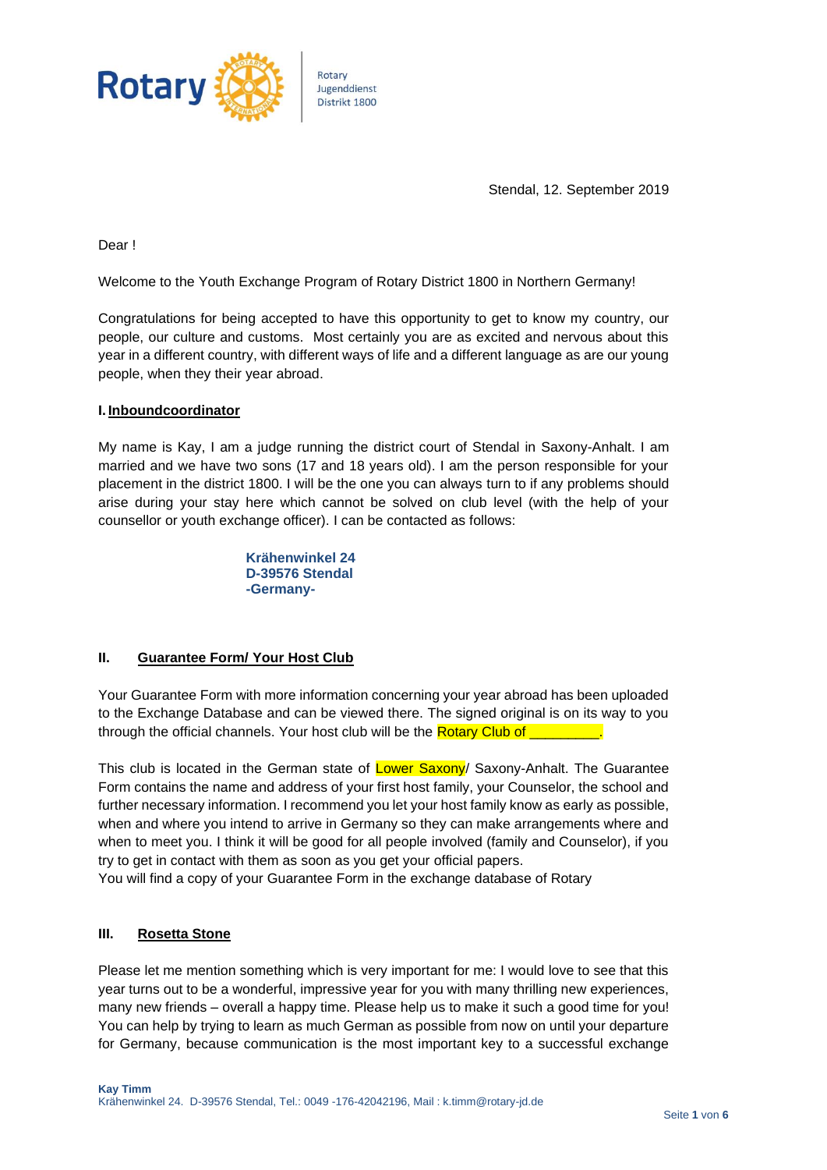

Stendal, 12. September 2019

Dear !

Welcome to the Youth Exchange Program of Rotary District 1800 in Northern Germany!

Congratulations for being accepted to have this opportunity to get to know my country, our people, our culture and customs. Most certainly you are as excited and nervous about this year in a different country, with different ways of life and a different language as are our young people, when they their year abroad.

#### **I. Inboundcoordinator**

My name is Kay, I am a judge running the district court of Stendal in Saxony-Anhalt. I am married and we have two sons (17 and 18 years old). I am the person responsible for your placement in the district 1800. I will be the one you can always turn to if any problems should arise during your stay here which cannot be solved on club level (with the help of your counsellor or youth exchange officer). I can be contacted as follows:

> **Krähenwinkel 24 D-39576 Stendal -Germany-**

#### **II. Guarantee Form/ Your Host Club**

Your Guarantee Form with more information concerning your year abroad has been uploaded to the Exchange Database and can be viewed there. The signed original is on its way to you through the official channels. Your host club will be the Rotary Club of

This club is located in the German state of Lower Saxony/ Saxony-Anhalt. The Guarantee Form contains the name and address of your first host family, your Counselor, the school and further necessary information. I recommend you let your host family know as early as possible, when and where you intend to arrive in Germany so they can make arrangements where and when to meet you. I think it will be good for all people involved (family and Counselor), if you try to get in contact with them as soon as you get your official papers.

You will find a copy of your Guarantee Form in the exchange database of Rotary

## **III. Rosetta Stone**

Please let me mention something which is very important for me: I would love to see that this year turns out to be a wonderful, impressive year for you with many thrilling new experiences, many new friends – overall a happy time. Please help us to make it such a good time for you! You can help by trying to learn as much German as possible from now on until your departure for Germany, because communication is the most important key to a successful exchange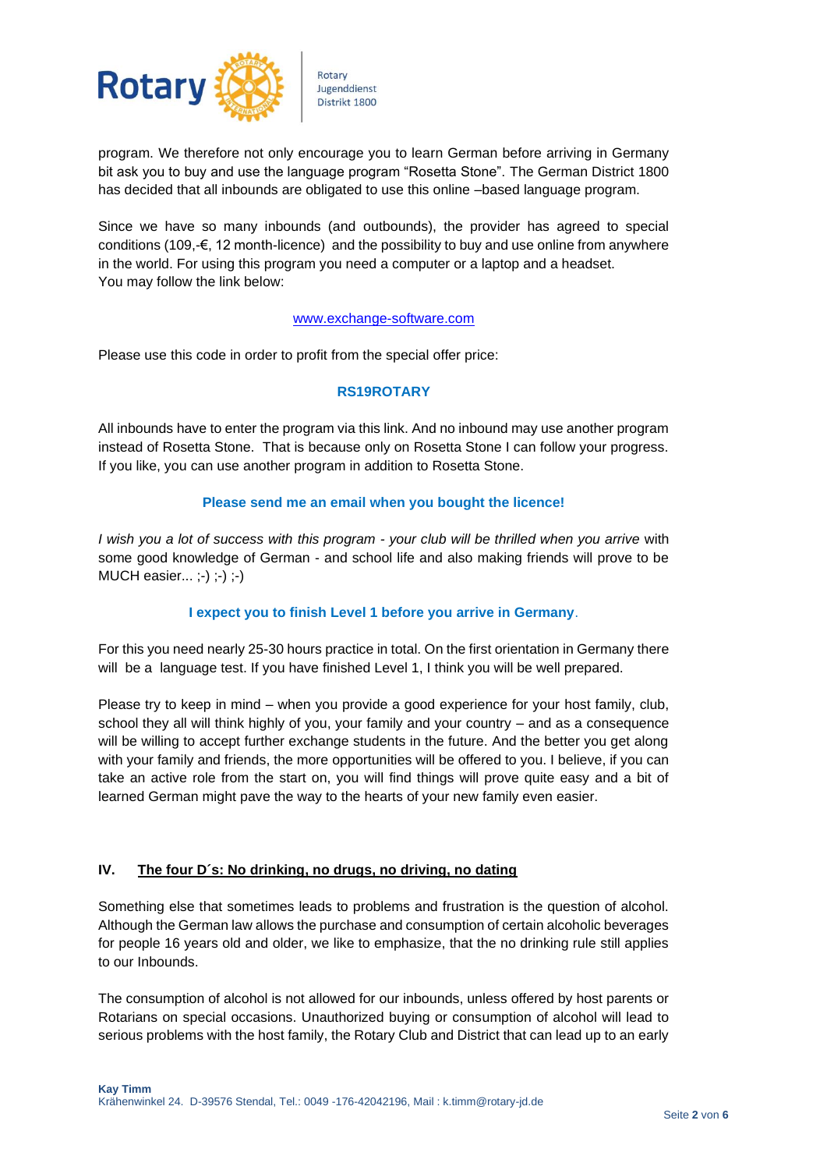

program. We therefore not only encourage you to learn German before arriving in Germany bit ask you to buy and use the language program "Rosetta Stone". The German District 1800 has decided that all inbounds are obligated to use this online –based language program.

Since we have so many inbounds (and outbounds), the provider has agreed to special conditions (109,-€, 12 month-licence) and the possibility to buy and use online from anywhere in the world. For using this program you need a computer or a laptop and a headset. You may follow the link below:

#### [www.exchange-software.com](http://www.exchange-software.com/)

Please use this code in order to profit from the special offer price:

### **RS19ROTARY**

All inbounds have to enter the program via this link. And no inbound may use another program instead of Rosetta Stone. That is because only on Rosetta Stone I can follow your progress. If you like, you can use another program in addition to Rosetta Stone.

### **Please send me an email when you bought the licence!**

*I wish you a lot of success with this program - your club will be thrilled when you arrive* with some good knowledge of German - and school life and also making friends will prove to be MUCH easier... ;-) ;-) ;-)

## **I expect you to finish Level 1 before you arrive in Germany**.

For this you need nearly 25-30 hours practice in total. On the first orientation in Germany there will be a language test. If you have finished Level 1, I think you will be well prepared.

Please try to keep in mind – when you provide a good experience for your host family, club, school they all will think highly of you, your family and your country – and as a consequence will be willing to accept further exchange students in the future. And the better you get along with your family and friends, the more opportunities will be offered to you. I believe, if you can take an active role from the start on, you will find things will prove quite easy and a bit of learned German might pave the way to the hearts of your new family even easier.

## **IV. The four D´s: No drinking, no drugs, no driving, no dating**

Something else that sometimes leads to problems and frustration is the question of alcohol. Although the German law allows the purchase and consumption of certain alcoholic beverages for people 16 years old and older, we like to emphasize, that the no drinking rule still applies to our Inbounds.

The consumption of alcohol is not allowed for our inbounds, unless offered by host parents or Rotarians on special occasions. Unauthorized buying or consumption of alcohol will lead to serious problems with the host family, the Rotary Club and District that can lead up to an early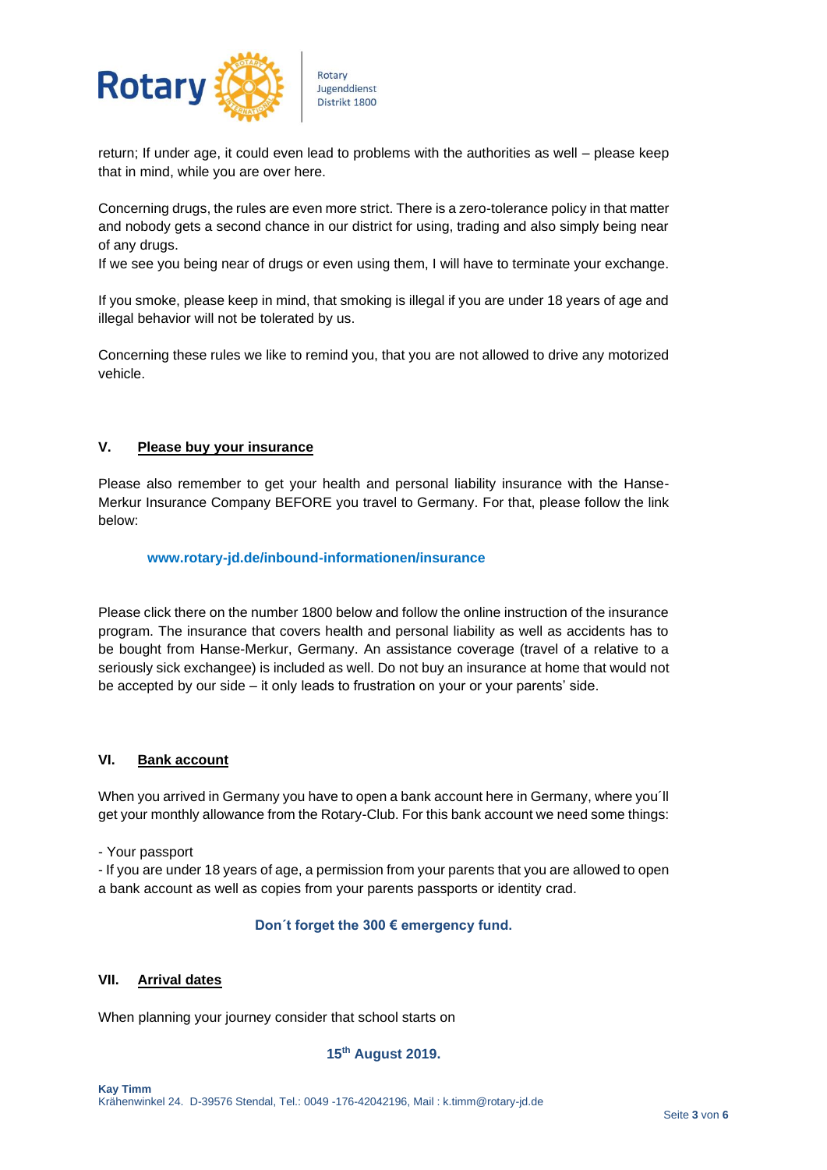

return; If under age, it could even lead to problems with the authorities as well – please keep that in mind, while you are over here.

Concerning drugs, the rules are even more strict. There is a zero-tolerance policy in that matter and nobody gets a second chance in our district for using, trading and also simply being near of any drugs.

If we see you being near of drugs or even using them, I will have to terminate your exchange.

If you smoke, please keep in mind, that smoking is illegal if you are under 18 years of age and illegal behavior will not be tolerated by us.

Concerning these rules we like to remind you, that you are not allowed to drive any motorized vehicle.

### **V. Please buy your insurance**

Please also remember to get your health and personal liability insurance with the Hanse-Merkur Insurance Company BEFORE you travel to Germany. For that, please follow the link below:

#### **www.rotary-jd.de/inbound-informationen/insurance**

Please click there on the number 1800 below and follow the online instruction of the insurance program. The insurance that covers health and personal liability as well as accidents has to be bought from Hanse-Merkur, Germany. An assistance coverage (travel of a relative to a seriously sick exchangee) is included as well. Do not buy an insurance at home that would not be accepted by our side – it only leads to frustration on your or your parents' side.

#### **VI. Bank account**

When you arrived in Germany you have to open a bank account here in Germany, where you´ll get your monthly allowance from the Rotary-Club. For this bank account we need some things:

- Your passport

- If you are under 18 years of age, a permission from your parents that you are allowed to open a bank account as well as copies from your parents passports or identity crad.

#### **Don´t forget the 300 € emergency fund.**

#### **VII. Arrival dates**

When planning your journey consider that school starts on

#### **15th August 2019.**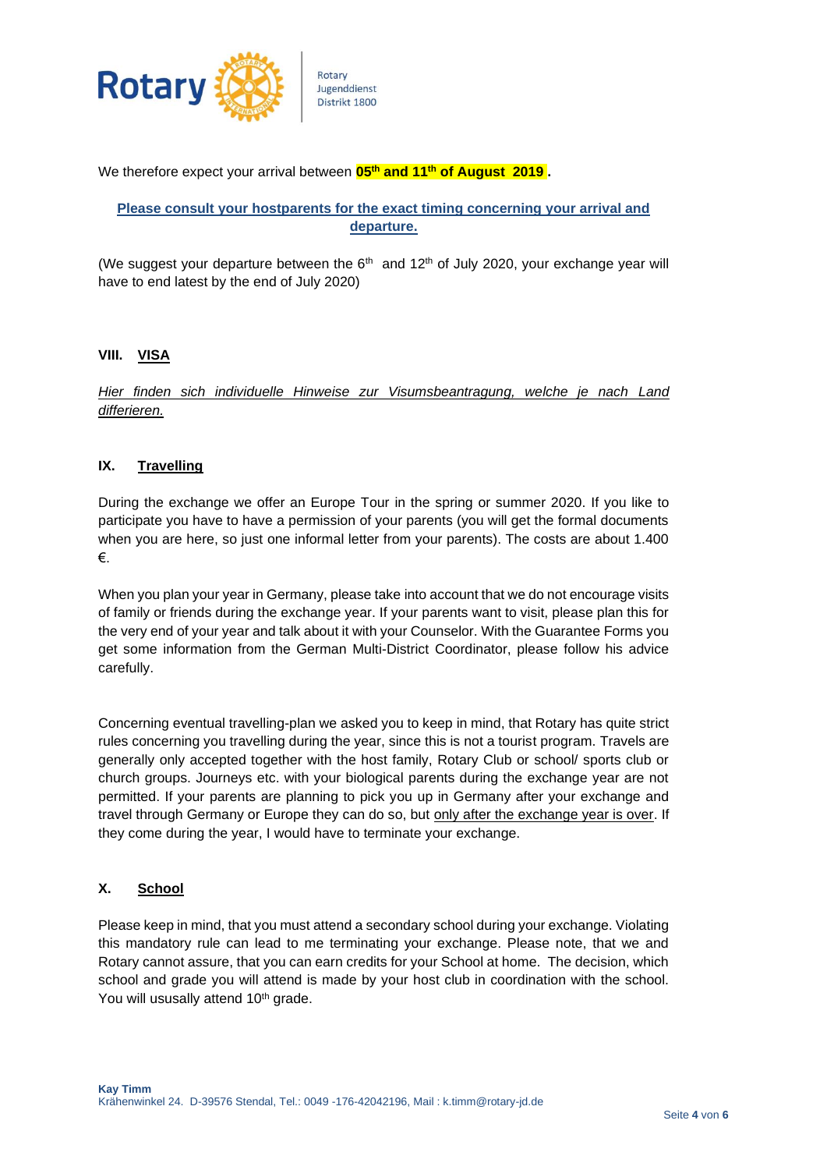

We therefore expect your arrival between **05th and 11th of August 2019 .**

# **Please consult your hostparents for the exact timing concerning your arrival and departure.**

(We suggest your departure between the  $6<sup>th</sup>$  and 12<sup>th</sup> of July 2020, your exchange year will have to end latest by the end of July 2020)

## **VIII. VISA**

*Hier finden sich individuelle Hinweise zur Visumsbeantragung, welche je nach Land differieren.*

# **IX. Travelling**

During the exchange we offer an Europe Tour in the spring or summer 2020. If you like to participate you have to have a permission of your parents (you will get the formal documents when you are here, so just one informal letter from your parents). The costs are about 1.400 €.

When you plan your year in Germany, please take into account that we do not encourage visits of family or friends during the exchange year. If your parents want to visit, please plan this for the very end of your year and talk about it with your Counselor. With the Guarantee Forms you get some information from the German Multi-District Coordinator, please follow his advice carefully.

Concerning eventual travelling-plan we asked you to keep in mind, that Rotary has quite strict rules concerning you travelling during the year, since this is not a tourist program. Travels are generally only accepted together with the host family, Rotary Club or school/ sports club or church groups. Journeys etc. with your biological parents during the exchange year are not permitted. If your parents are planning to pick you up in Germany after your exchange and travel through Germany or Europe they can do so, but only after the exchange year is over. If they come during the year, I would have to terminate your exchange.

# **X. School**

Please keep in mind, that you must attend a secondary school during your exchange. Violating this mandatory rule can lead to me terminating your exchange. Please note, that we and Rotary cannot assure, that you can earn credits for your School at home. The decision, which school and grade you will attend is made by your host club in coordination with the school. You will ususally attend 10<sup>th</sup> grade.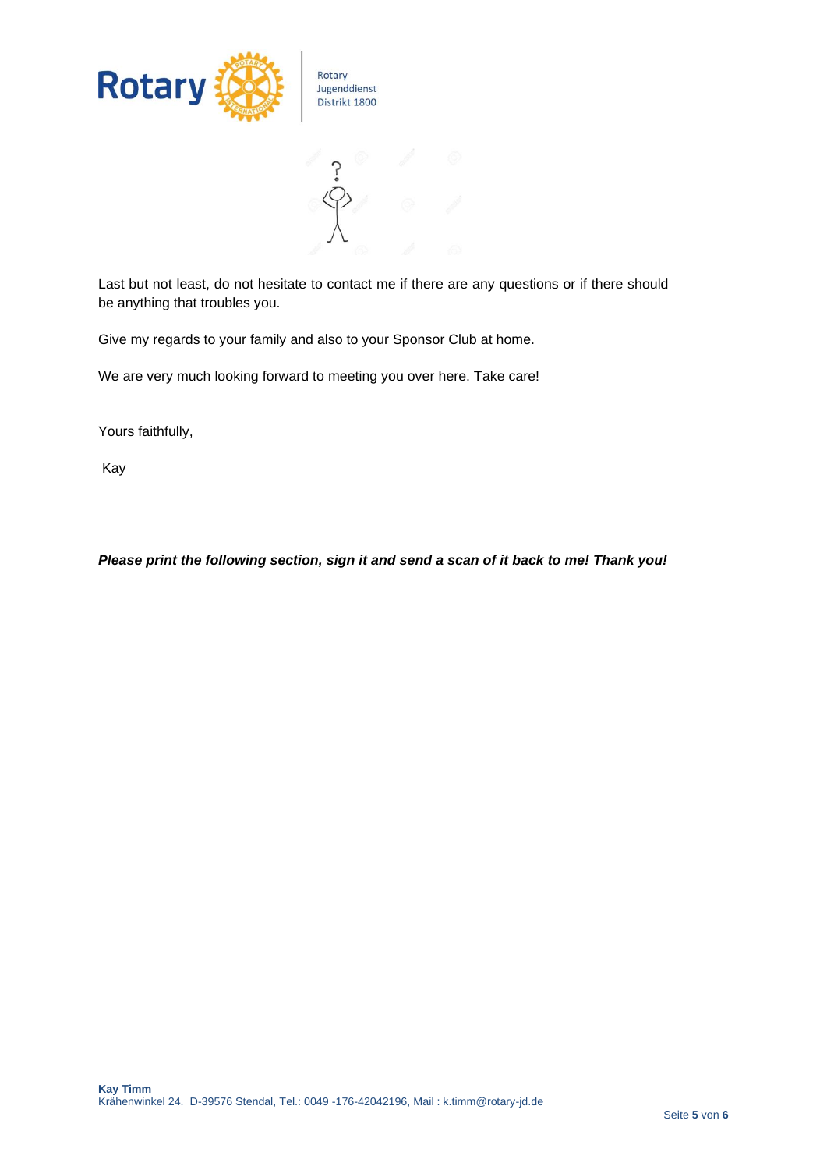

Last but not least, do not hesitate to contact me if there are any questions or if there should be anything that troubles you.

Give my regards to your family and also to your Sponsor Club at home.

We are very much looking forward to meeting you over here. Take care!

Yours faithfully,

Kay

*Please print the following section, sign it and send a scan of it back to me! Thank you!*